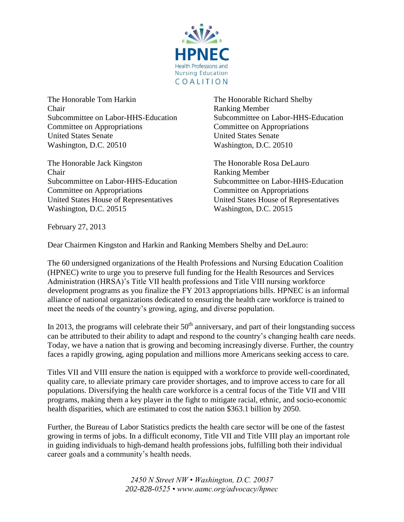

The Honorable Tom Harkin The Honorable Richard Shelby Chair Ranking Member Committee on Appropriations Committee on Appropriations United States Senate United States Senate Washington, D.C. 20510 Washington, D.C. 20510

The Honorable Jack Kingston The Honorable Rosa DeLauro Chair Ranking Member Committee on Appropriations Committee on Appropriations United States House of Representatives United States House of Representatives Washington, D.C. 20515 Washington, D.C. 20515

Subcommittee on Labor-HHS-Education Subcommittee on Labor-HHS-Education

Subcommittee on Labor-HHS-Education Subcommittee on Labor-HHS-Education

February 27, 2013

Dear Chairmen Kingston and Harkin and Ranking Members Shelby and DeLauro:

The 60 undersigned organizations of the Health Professions and Nursing Education Coalition (HPNEC) write to urge you to preserve full funding for the Health Resources and Services Administration (HRSA)'s Title VII health professions and Title VIII nursing workforce development programs as you finalize the FY 2013 appropriations bills. HPNEC is an informal alliance of national organizations dedicated to ensuring the health care workforce is trained to meet the needs of the country's growing, aging, and diverse population.

In 2013, the programs will celebrate their  $50<sup>th</sup>$  anniversary, and part of their longstanding success can be attributed to their ability to adapt and respond to the country's changing health care needs. Today, we have a nation that is growing and becoming increasingly diverse. Further, the country faces a rapidly growing, aging population and millions more Americans seeking access to care.

Titles VII and VIII ensure the nation is equipped with a workforce to provide well-coordinated, quality care, to alleviate primary care provider shortages, and to improve access to care for all populations. Diversifying the health care workforce is a central focus of the Title VII and VIII programs, making them a key player in the fight to mitigate racial, ethnic, and socio-economic health disparities, which are estimated to cost the nation \$363.1 billion by 2050.

Further, the Bureau of Labor Statistics predicts the health care sector will be one of the fastest growing in terms of jobs. In a difficult economy, Title VII and Title VIII play an important role in guiding individuals to high-demand health professions jobs, fulfilling both their individual career goals and a community's health needs.

> *2450 N Street NW • Washington, D.C. 20037 202-828-0525 • www.aamc.org/advocacy/hpnec*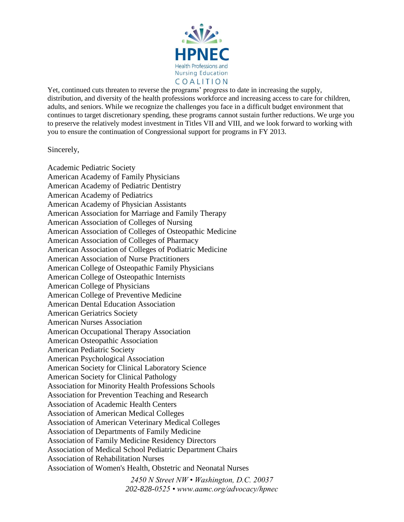

Yet, continued cuts threaten to reverse the programs' progress to date in increasing the supply, distribution, and diversity of the health professions workforce and increasing access to care for children, adults, and seniors. While we recognize the challenges you face in a difficult budget environment that continues to target discretionary spending, these programs cannot sustain further reductions. We urge you to preserve the relatively modest investment in Titles VII and VIII, and we look forward to working with you to ensure the continuation of Congressional support for programs in FY 2013.

## Sincerely,

Academic Pediatric Society American Academy of Family Physicians American Academy of Pediatric Dentistry American Academy of Pediatrics American Academy of Physician Assistants American Association for Marriage and Family Therapy American Association of Colleges of Nursing American Association of Colleges of Osteopathic Medicine American Association of Colleges of Pharmacy American Association of Colleges of Podiatric Medicine American Association of Nurse Practitioners American College of Osteopathic Family Physicians American College of Osteopathic Internists American College of Physicians American College of Preventive Medicine American Dental Education Association American Geriatrics Society American Nurses Association American Occupational Therapy Association American Osteopathic Association American Pediatric Society American Psychological Association American Society for Clinical Laboratory Science American Society for Clinical Pathology Association for Minority Health Professions Schools Association for Prevention Teaching and Research Association of Academic Health Centers Association of American Medical Colleges Association of American Veterinary Medical Colleges Association of Departments of Family Medicine Association of Family Medicine Residency Directors Association of Medical School Pediatric Department Chairs Association of Rehabilitation Nurses Association of Women's Health, Obstetric and Neonatal Nurses

*2450 N Street NW • Washington, D.C. 20037 202-828-0525 • www.aamc.org/advocacy/hpnec*